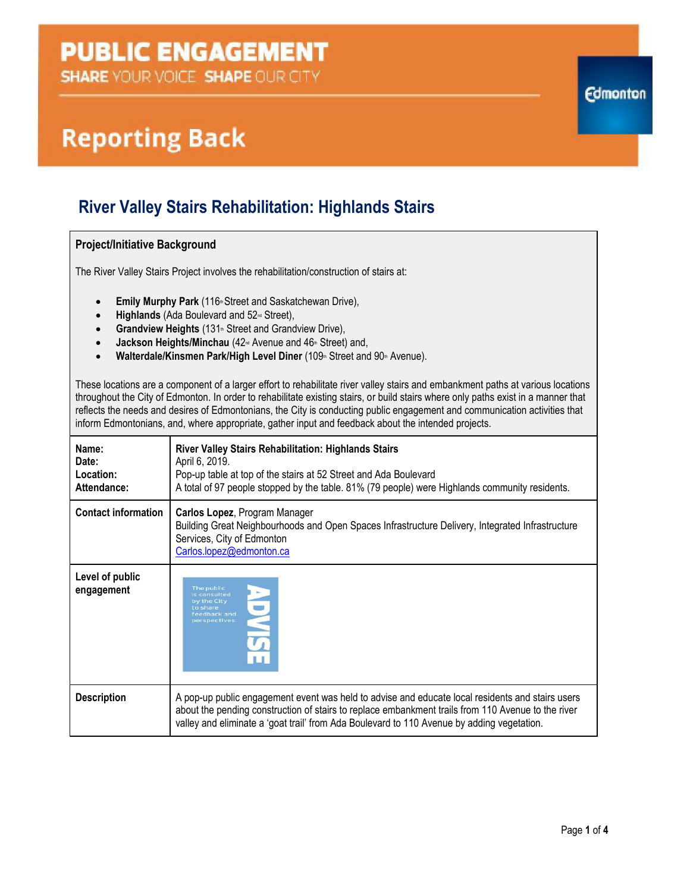## **PUBLIC ENGAGEMENT**

**SHARE YOUR VOICE SHAPE OUR CITY** 

# **Reporting Back**

### **River Valley Stairs Rehabilitation: Highlands Stairs**

#### **Project/Initiative Background**

The River Valley Stairs Project involves the rehabilitation/construction of stairs at:

- **Emily Murphy Park** (116<sup>th</sup> Street and Saskatchewan Drive),
- **•** Highlands (Ada Boulevard and 52<sup>nd</sup> Street),
- **Grandview Heights** (131<sup>th</sup> Street and Grandview Drive),
- Jackson Heights/Minchau (42<sup>nd</sup> Avenue and 46<sup>th</sup> Street) and,
- **Walterdale/Kinsmen Park/High Level Diner** (109th Street and 90th Avenue).

These locations are a component of a larger effort to rehabilitate river valley stairs and embankment paths at various locations throughout the City of Edmonton. In order to rehabilitate existing stairs, or build stairs where only paths exist in a manner that reflects the needs and desires of Edmontonians, the City is conducting public engagement and communication activities that inform Edmontonians, and, where appropriate, gather input and feedback about the intended projects.

| Name:<br>Date:<br>Location:<br>Attendance: | River Valley Stairs Rehabilitation: Highlands Stairs<br>April 6, 2019.<br>Pop-up table at top of the stairs at 52 Street and Ada Boulevard<br>A total of 97 people stopped by the table. 81% (79 people) were Highlands community residents.                                                         |
|--------------------------------------------|------------------------------------------------------------------------------------------------------------------------------------------------------------------------------------------------------------------------------------------------------------------------------------------------------|
| <b>Contact information</b>                 | Carlos Lopez, Program Manager<br>Building Great Neighbourhoods and Open Spaces Infrastructure Delivery, Integrated Infrastructure<br>Services, City of Edmonton<br>Carlos.lopez@edmonton.ca                                                                                                          |
| Level of public<br>engagement              | The public<br>is consulted<br>by the City<br>to share<br>feedback and<br>perspectives.                                                                                                                                                                                                               |
| <b>Description</b>                         | A pop-up public engagement event was held to advise and educate local residents and stairs users<br>about the pending construction of stairs to replace embankment trails from 110 Avenue to the river<br>valley and eliminate a 'goat trail' from Ada Boulevard to 110 Avenue by adding vegetation. |

**Edmonton**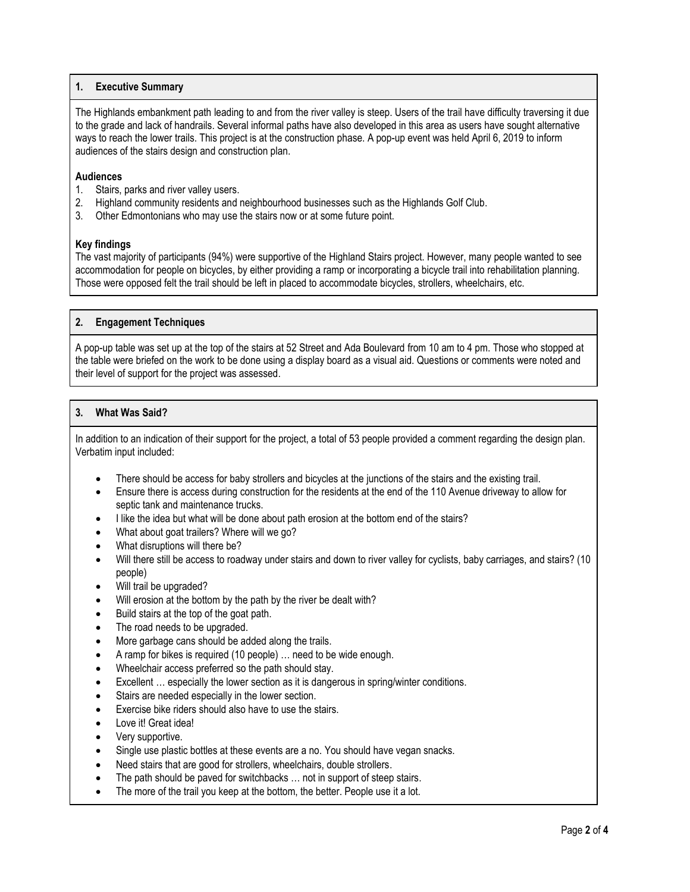#### **1. Executive Summary**

The Highlands embankment path leading to and from the river valley is steep. Users of the trail have difficulty traversing it due to the grade and lack of handrails. Several informal paths have also developed in this area as users have sought alternative ways to reach the lower trails. This project is at the construction phase. A pop-up event was held April 6, 2019 to inform audiences of the stairs design and construction plan.

#### **Audiences**

- 1. Stairs, parks and river valley users.
- 2. Highland community residents and neighbourhood businesses such as the Highlands Golf Club.
- 3. Other Edmontonians who may use the stairs now or at some future point.

#### **Key findings**

The vast majority of participants (94%) were supportive of the Highland Stairs project. However, many people wanted to see accommodation for people on bicycles, by either providing a ramp or incorporating a bicycle trail into rehabilitation planning. Those were opposed felt the trail should be left in placed to accommodate bicycles, strollers, wheelchairs, etc.

#### **2. Engagement Techniques**

A pop-up table was set up at the top of the stairs at 52 Street and Ada Boulevard from 10 am to 4 pm. Those who stopped at the table were briefed on the work to be done using a display board as a visual aid. Questions or comments were noted and their level of support for the project was assessed.

#### **3. What Was Said?**

In addition to an indication of their support for the project, a total of 53 people provided a comment regarding the design plan. Verbatim input included:

- There should be access for baby strollers and bicycles at the junctions of the stairs and the existing trail.
- Ensure there is access during construction for the residents at the end of the 110 Avenue driveway to allow for septic tank and maintenance trucks.
- I like the idea but what will be done about path erosion at the bottom end of the stairs?
- What about goat trailers? Where will we go?
- What disruptions will there be?
- Will there still be access to roadway under stairs and down to river valley for cyclists, baby carriages, and stairs? (10 people)
- Will trail be upgraded?
- Will erosion at the bottom by the path by the river be dealt with?
- Build stairs at the top of the goat path.
- The road needs to be upgraded.
- More garbage cans should be added along the trails.
- A ramp for bikes is required (10 people) … need to be wide enough.
- Wheelchair access preferred so the path should stay.
- Excellent … especially the lower section as it is dangerous in spring/winter conditions.
- Stairs are needed especially in the lower section.
- Exercise bike riders should also have to use the stairs.
- Love it! Great idea!
- Very supportive.
- Single use plastic bottles at these events are a no. You should have vegan snacks.
- Need stairs that are good for strollers, wheelchairs, double strollers.
- The path should be paved for switchbacks … not in support of steep stairs.
- The more of the trail you keep at the bottom, the better. People use it a lot.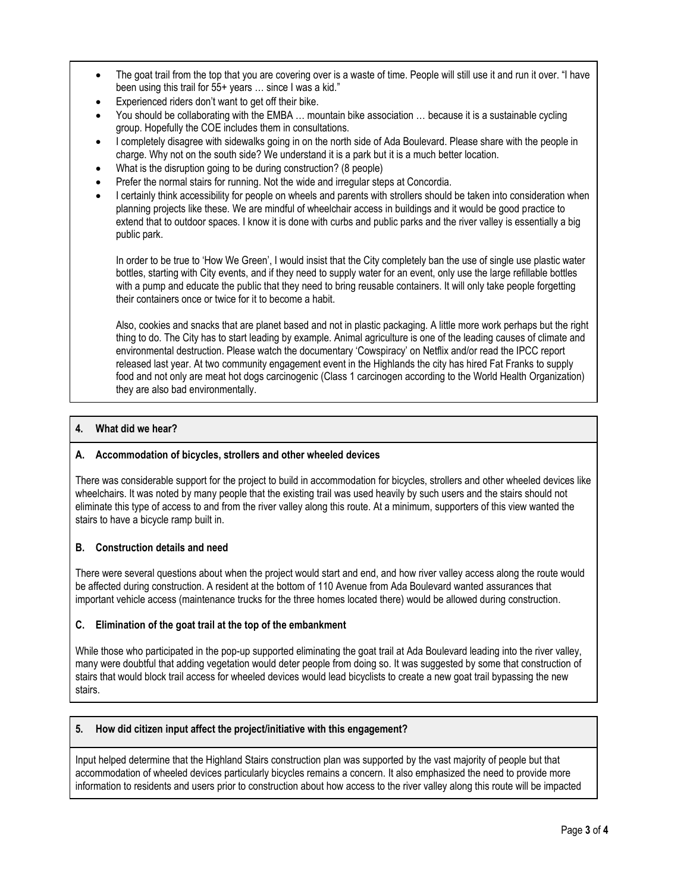- The goat trail from the top that you are covering over is a waste of time. People will still use it and run it over. "I have been using this trail for 55+ years ... since I was a kid."
- Experienced riders don't want to get off their bike.
- You should be collaborating with the EMBA … mountain bike association … because it is a sustainable cycling group. Hopefully the COE includes them in consultations.
- I completely disagree with sidewalks going in on the north side of Ada Boulevard. Please share with the people in charge. Why not on the south side? We understand it is a park but it is a much better location.
- What is the disruption going to be during construction? (8 people)
- Prefer the normal stairs for running. Not the wide and irregular steps at Concordia.
- I certainly think accessibility for people on wheels and parents with strollers should be taken into consideration when planning projects like these. We are mindful of wheelchair access in buildings and it would be good practice to extend that to outdoor spaces. I know it is done with curbs and public parks and the river valley is essentially a big public park.

In order to be true to 'How We Green', I would insist that the City completely ban the use of single use plastic water bottles, starting with City events, and if they need to supply water for an event, only use the large refillable bottles with a pump and educate the public that they need to bring reusable containers. It will only take people forgetting their containers once or twice for it to become a habit.

Also, cookies and snacks that are planet based and not in plastic packaging. A little more work perhaps but the right thing to do. The City has to start leading by example. Animal agriculture is one of the leading causes of climate and environmental destruction. Please watch the documentary 'Cowspiracy' on Netflix and/or read the IPCC report released last year. At two community engagement event in the Highlands the city has hired Fat Franks to supply food and not only are meat hot dogs carcinogenic (Class 1 carcinogen according to the World Health Organization) they are also bad environmentally.

#### **4. What did we hear?**

#### **A. Accommodation of bicycles, strollers and other wheeled devices**

There was considerable support for the project to build in accommodation for bicycles, strollers and other wheeled devices like wheelchairs. It was noted by many people that the existing trail was used heavily by such users and the stairs should not eliminate this type of access to and from the river valley along this route. At a minimum, supporters of this view wanted the stairs to have a bicycle ramp built in.

#### **B. Construction details and need**

There were several questions about when the project would start and end, and how river valley access along the route would be affected during construction. A resident at the bottom of 110 Avenue from Ada Boulevard wanted assurances that important vehicle access (maintenance trucks for the three homes located there) would be allowed during construction.

#### **C. Elimination of the goat trail at the top of the embankment**

While those who participated in the pop-up supported eliminating the goat trail at Ada Boulevard leading into the river valley, many were doubtful that adding vegetation would deter people from doing so. It was suggested by some that construction of stairs that would block trail access for wheeled devices would lead bicyclists to create a new goat trail bypassing the new stairs.

#### **5. How did citizen input affect the project/initiative with this engagement?**

Input helped determine that the Highland Stairs construction plan was supported by the vast majority of people but that accommodation of wheeled devices particularly bicycles remains a concern. It also emphasized the need to provide more information to residents and users prior to construction about how access to the river valley along this route will be impacted